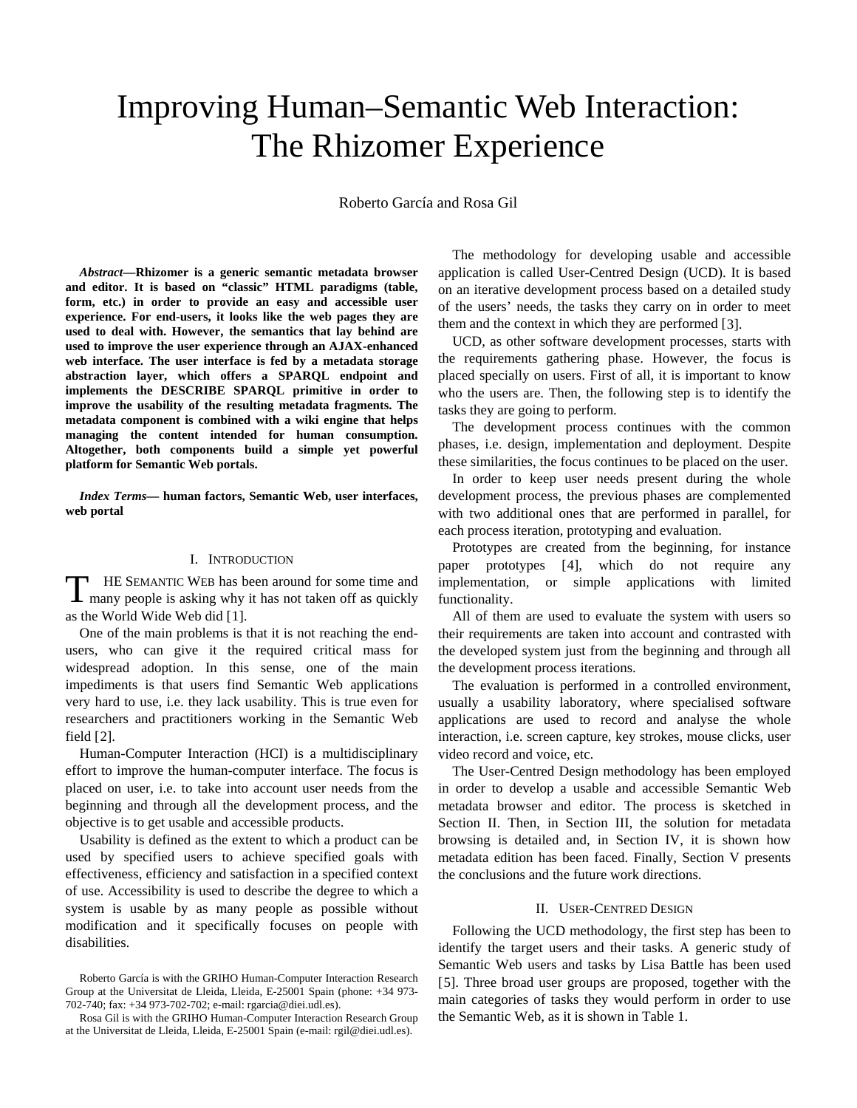# <span id="page-0-1"></span>Improving Human–Semantic Web Interaction: The Rhizomer Experience

Roberto García and Rosa Gil

*Abstract***—Rhizomer is a generic semantic metadata browser and editor. It is based on "classic" HTML paradigms (table, form, etc.) in order to provide an easy and accessible user experience. For end-users, it looks like the web pages they are used to deal with. However, the semantics that lay behind are used to improve the user experience through an AJAX-enhanced web interface. The user interface is fed by a metadata storage abstraction layer, which offers a SPARQL endpoint and implements the DESCRIBE SPARQL primitive in order to improve the usability of the resulting metadata fragments. The metadata component is combined with a wiki engine that helps managing the content intended for human consumption. Altogether, both components build a simple yet powerful platform for Semantic Web portals.** 

*Index Terms***— human factors, Semantic Web, user interfaces, web portal** 

# I. INTRODUCTION

HE SEMANTIC WEB has been around for some time and THE SEMANTIC WEB has been around for some time and many people is asking why it has not taken off as quickly as the World Wide Web did [[1\]](#page-0-0).

One of the main problems is that it is not reaching the endusers, who can give it the required critical mass for widespread adoption. In this sense, one of the main impediments is that users find Semantic Web applications very hard to use, i.e. they lack usability. This is true even for researchers and practitioners working in the Semantic Web field [[2\]](#page-1-0).

Human-Computer Interaction (HCI) is a multidisciplinary effort to improve the human-computer interface. The focus is placed on user, i.e. to take into account user needs from the beginning and through all the development process, and the objective is to get usable and accessible products.

Usability is defined as the extent to which a product can be used by specified users to achieve specified goals with effectiveness, efficiency and satisfaction in a specified context of use. Accessibility is used to describe the degree to which a system is usable by as many people as possible without modification and it specifically focuses on people with disabilities.

The methodology for developing usable and accessible application is called User-Centred Design (UCD). It is based on an iterative development process based on a detailed study of the users' needs, the tasks they carry on in order to meet them and the context in which they are performed [[3\]](#page-4-0).

UCD, as other software development processes, starts with the requirements gathering phase. However, the focus is placed specially on users. First of all, it is important to know who the users are. Then, the following step is to identify the tasks they are going to perform.

The development process continues with the common phases, i.e. design, implementation and deployment. Despite these similarities, the focus continues to be placed on the user.

In order to keep user needs present during the whole development process, the previous phases are complemented with two additional ones that are performed in parallel, for each process iteration, prototyping and evaluation.

Prototypes are created from the beginning, for instance paper prototypes [[4](#page-4-1)], which do not require any implementation, or simple applications with limited functionality.

All of them are used to evaluate the system with users so their requirements are taken into account and contrasted with the developed system just from the beginning and through all the development process iterations.

The evaluation is performed in a controlled environment, usually a usability laboratory, where specialised software applications are used to record and analyse the whole interaction, i.e. screen capture, key strokes, mouse clicks, user video record and voice, etc.

The User-Centred Design methodology has been employed in order to develop a usable and accessible Semantic Web metadata browser and editor. The process is sketched in Section [II](#page-0-1). Then, in Section [III,](#page-1-1) the solution for metadata browsing is detailed and, in Section [IV,](#page-5-0) it is shown how metadata edition has been faced. Finally, Section [V](#page-6-0) presents the conclusions and the future work directions.

#### II. USER-CENTRED DESIGN

Following the UCD methodology, the first step has been to identify the target users and their tasks. A generic study of Semantic Web users and tasks by Lisa Battle has been used [[5](#page-4-2)]. Three broad user groups are proposed, together with the main categories of tasks they would perform in order to use the Semantic Web, as it is shown in [Table 1](#page-1-1).

<span id="page-0-0"></span>Roberto García is with the GRIHO Human-Computer Interaction Research Group at the Universitat de Lleida, Lleida, E-25001 Spain (phone: +34 973- 702-740; fax: +34 973-702-702; e-mail: rgarcia@diei.udl.es).

Rosa Gil is with the GRIHO Human-Computer Interaction Research Group at the Universitat de Lleida, Lleida, E-25001 Spain (e-mail: rgil@diei.udl.es).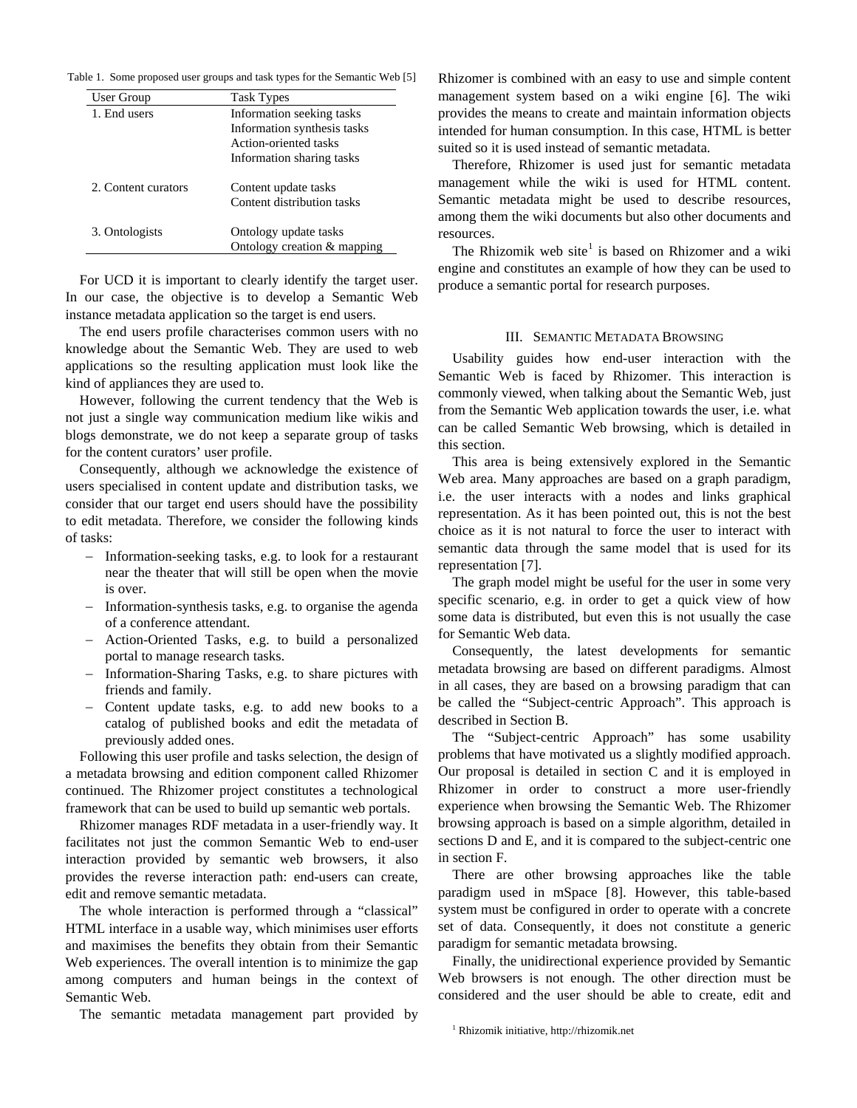<span id="page-1-1"></span>Table 1. Some proposed user groups and task types for the Semantic Web [[5\]](#page-0-1)

| User Group          | <b>Task Types</b>           |
|---------------------|-----------------------------|
| 1. End users        | Information seeking tasks   |
|                     | Information synthesis tasks |
|                     | Action-oriented tasks       |
|                     | Information sharing tasks   |
| 2. Content curators | Content update tasks        |
|                     | Content distribution tasks  |
| 3. Ontologists      | Ontology update tasks       |
|                     | Ontology creation & mapping |

For UCD it is important to clearly identify the target user. In our case, the objective is to develop a Semantic Web instance metadata application so the target is end users.

The end users profile characterises common users with no knowledge about the Semantic Web. They are used to web applications so the resulting application must look like the kind of appliances they are used to.

However, following the current tendency that the Web is not just a single way communication medium like wikis and blogs demonstrate, we do not keep a separate group of tasks for the content curators' user profile.

Consequently, although we acknowledge the existence of users specialised in content update and distribution tasks, we consider that our target end users should have the possibility to edit metadata. Therefore, we consider the following kinds of tasks:

- − Information-seeking tasks, e.g. to look for a restaurant near the theater that will still be open when the movie is over.
- − Information-synthesis tasks, e.g. to organise the agenda of a conference attendant.
- − Action-Oriented Tasks, e.g. to build a personalized portal to manage research tasks.
- − Information-Sharing Tasks, e.g. to share pictures with friends and family.
- − Content update tasks, e.g. to add new books to a catalog of published books and edit the metadata of previously added ones.

Following this user profile and tasks selection, the design of a metadata browsing and edition component called Rhizomer continued. The Rhizomer project constitutes a technological framework that can be used to build up semantic web portals.

Rhizomer manages RDF metadata in a user-friendly way. It facilitates not just the common Semantic Web to end-user interaction provided by semantic web browsers, it also provides the reverse interaction path: end-users can create, edit and remove semantic metadata.

The whole interaction is performed through a "classical" HTML interface in a usable way, which minimises user efforts and maximises the benefits they obtain from their Semantic Web experiences. The overall intention is to minimize the gap among computers and human beings in the context of Semantic Web.

<span id="page-1-0"></span>The semantic metadata management part provided by

Rhizomer is combined with an easy to use and simple content management system based on a wiki engine [[6](#page-5-1)]. The wiki provides the means to create and maintain information objects intended for human consumption. In this case, HTML is better suited so it is used instead of semantic metadata.

Therefore, Rhizomer is used just for semantic metadata management while the wiki is used for HTML content. Semantic metadata might be used to describe resources, among them the wiki documents but also other documents and resources.

The Rhizomik web site<sup>[1](#page-1-0)</sup> is based on Rhizomer and a wiki engine and constitutes an example of how they can be used to produce a semantic portal for research purposes.

#### III. SEMANTIC METADATA BROWSING

Usability guides how end-user interaction with the Semantic Web is faced by Rhizomer. This interaction is commonly viewed, when talking about the Semantic Web, just from the Semantic Web application towards the user, i.e. what can be called Semantic Web browsing, which is detailed in this section.

This area is being extensively explored in the Semantic Web area. Many approaches are based on a graph paradigm, i.e. the user interacts with a nodes and links graphical representation. As it has been pointed out, this is not the best choice as it is not natural to force the user to interact with semantic data through the same model that is used for its representation [[7](#page-5-2)].

The graph model might be useful for the user in some very specific scenario, e.g. in order to get a quick view of how some data is distributed, but even this is not usually the case for Semantic Web data.

Consequently, the latest developments for semantic metadata browsing are based on different paradigms. Almost in all cases, they are based on a browsing paradigm that can be called the "Subject-centric Approach". This approach is described in Section [B.](#page-2-0)

The "Subject-centric Approach" has some usability problems that have motivated us a slightly modified approach. Our proposal is detailed in section [C](#page-3-0) and it is employed in Rhizomer in order to construct a more user-friendly experience when browsing the Semantic Web. The Rhizomer browsing approach is based on a simple algorithm, detailed in sections [D](#page-3-0) and [E](#page-3-0), and it is compared to the subject-centric one in section [F](#page-4-3).

There are other browsing approaches like the table paradigm used in mSpace [[8\]](#page-5-2). However, this table-based system must be configured in order to operate with a concrete set of data. Consequently, it does not constitute a generic paradigm for semantic metadata browsing.

Finally, the unidirectional experience provided by Semantic Web browsers is not enough. The other direction must be considered and the user should be able to create, edit and

<sup>1</sup> Rhizomik initiative, http://rhizomik.net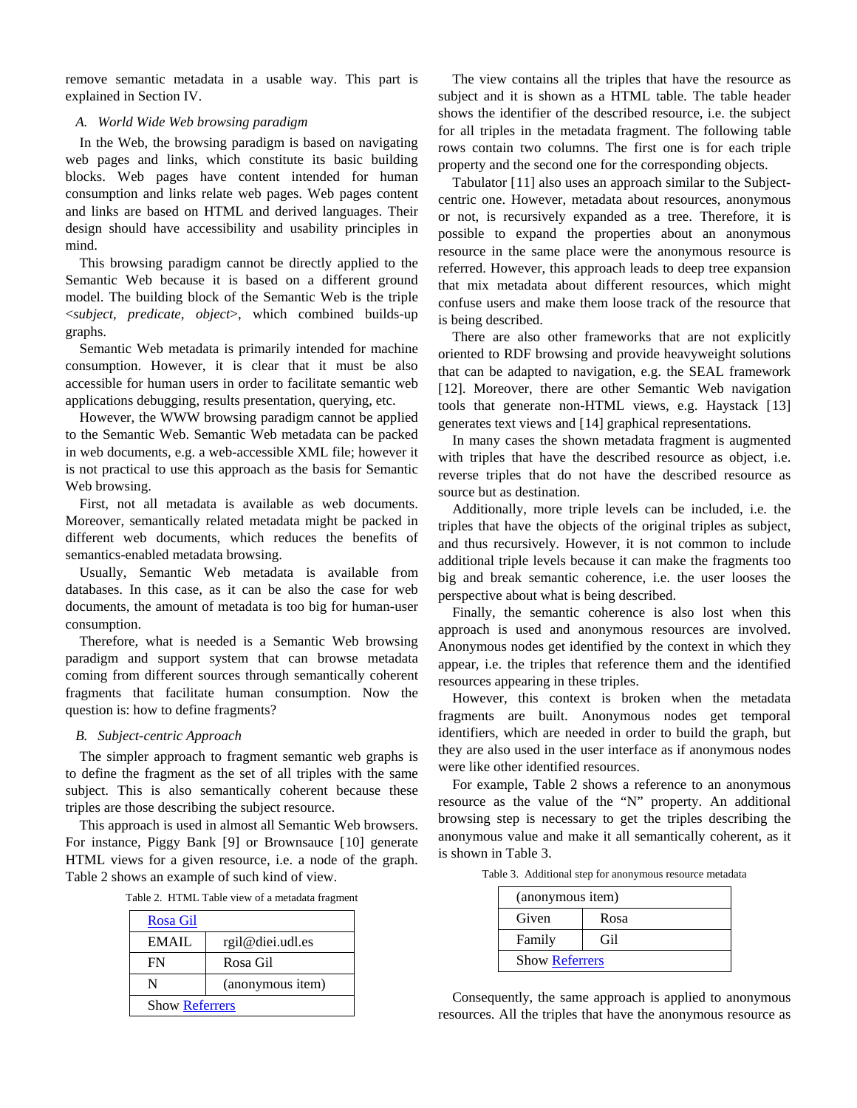<span id="page-2-0"></span>remove semantic metadata in a usable way. This part is explained in Section [IV.](#page-5-0)

# *A. World Wide Web browsing paradigm*

In the Web, the browsing paradigm is based on navigating web pages and links, which constitute its basic building blocks. Web pages have content intended for human consumption and links relate web pages. Web pages content and links are based on HTML and derived languages. Their design should have accessibility and usability principles in mind.

This browsing paradigm cannot be directly applied to the Semantic Web because it is based on a different ground model. The building block of the Semantic Web is the triple <*subject, predicate, object*>, which combined builds-up graphs.

Semantic Web metadata is primarily intended for machine consumption. However, it is clear that it must be also accessible for human users in order to facilitate semantic web applications debugging, results presentation, querying, etc.

However, the WWW browsing paradigm cannot be applied to the Semantic Web. Semantic Web metadata can be packed in web documents, e.g. a web-accessible XML file; however it is not practical to use this approach as the basis for Semantic Web browsing.

First, not all metadata is available as web documents. Moreover, semantically related metadata might be packed in different web documents, which reduces the benefits of semantics-enabled metadata browsing.

Usually, Semantic Web metadata is available from databases. In this case, as it can be also the case for web documents, the amount of metadata is too big for human-user consumption.

Therefore, what is needed is a Semantic Web browsing paradigm and support system that can browse metadata coming from different sources through semantically coherent fragments that facilitate human consumption. Now the question is: how to define fragments?

### *B. Subject-centric Approach*

The simpler approach to fragment semantic web graphs is to define the fragment as the set of all triples with the same subject. This is also semantically coherent because these triples are those describing the subject resource.

This approach is used in almost all Semantic Web browsers. For instance, Piggy Bank [[9\]](#page-7-0) or Brownsauce [[10](#page-7-1)] generate HTML views for a given resource, i.e. a node of the graph. [Table 2](#page-2-0) shows an example of such kind of view.

|  | Table 2. HTML Table view of a metadata fragment |  |  |  |
|--|-------------------------------------------------|--|--|--|
|--|-------------------------------------------------|--|--|--|

| Rosa Gil              |                  |
|-----------------------|------------------|
| EMAIL                 | rgil@diei.udl.es |
| FN                    | Rosa Gil         |
| N                     | (anonymous item) |
| <b>Show Referrers</b> |                  |

The view contains all the triples that have the resource as subject and it is shown as a HTML table. The table header shows the identifier of the described resource, i.e. the subject for all triples in the metadata fragment. The following table rows contain two columns. The first one is for each triple property and the second one for the corresponding objects.

Tabulator [[11](#page-7-1)] also uses an approach similar to the Subjectcentric one. However, metadata about resources, anonymous or not, is recursively expanded as a tree. Therefore, it is possible to expand the properties about an anonymous resource in the same place were the anonymous resource is referred. However, this approach leads to deep tree expansion that mix metadata about different resources, which might confuse users and make them loose track of the resource that is being described.

There are also other frameworks that are not explicitly oriented to RDF browsing and provide heavyweight solutions that can be adapted to navigation, e.g. the SEAL framework [[1](#page-7-1)2]. Moreover, there are other Semantic Web navigation tools that generate non-HTML views, e.g. Haystack [[13](#page-7-1)] generates text views and [[14](#page-7-1)] graphical representations.

In many cases the shown metadata fragment is augmented with triples that have the described resource as object, i.e. reverse triples that do not have the described resource as source but as destination.

Additionally, more triple levels can be included, i.e. the triples that have the objects of the original triples as subject, and thus recursively. However, it is not common to include additional triple levels because it can make the fragments too big and break semantic coherence, i.e. the user looses the perspective about what is being described.

Finally, the semantic coherence is also lost when this approach is used and anonymous resources are involved. Anonymous nodes get identified by the context in which they appear, i.e. the triples that reference them and the identified resources appearing in these triples.

However, this context is broken when the metadata fragments are built. Anonymous nodes get temporal identifiers, which are needed in order to build the graph, but they are also used in the user interface as if anonymous nodes were like other identified resources.

For example, [Table 2](#page-2-0) shows a reference to an anonymous resource as the value of the "N" property. An additional browsing step is necessary to get the triples describing the anonymous value and make it all semantically coherent, as it is shown in [Table 3.](#page-2-0)

Table 3. Additional step for anonymous resource metadata

| (anonymous item)      |      |
|-----------------------|------|
| Given                 | Rosa |
| Family                | Gil  |
| <b>Show Referrers</b> |      |

Consequently, the same approach is applied to anonymous resources. All the triples that have the anonymous resource as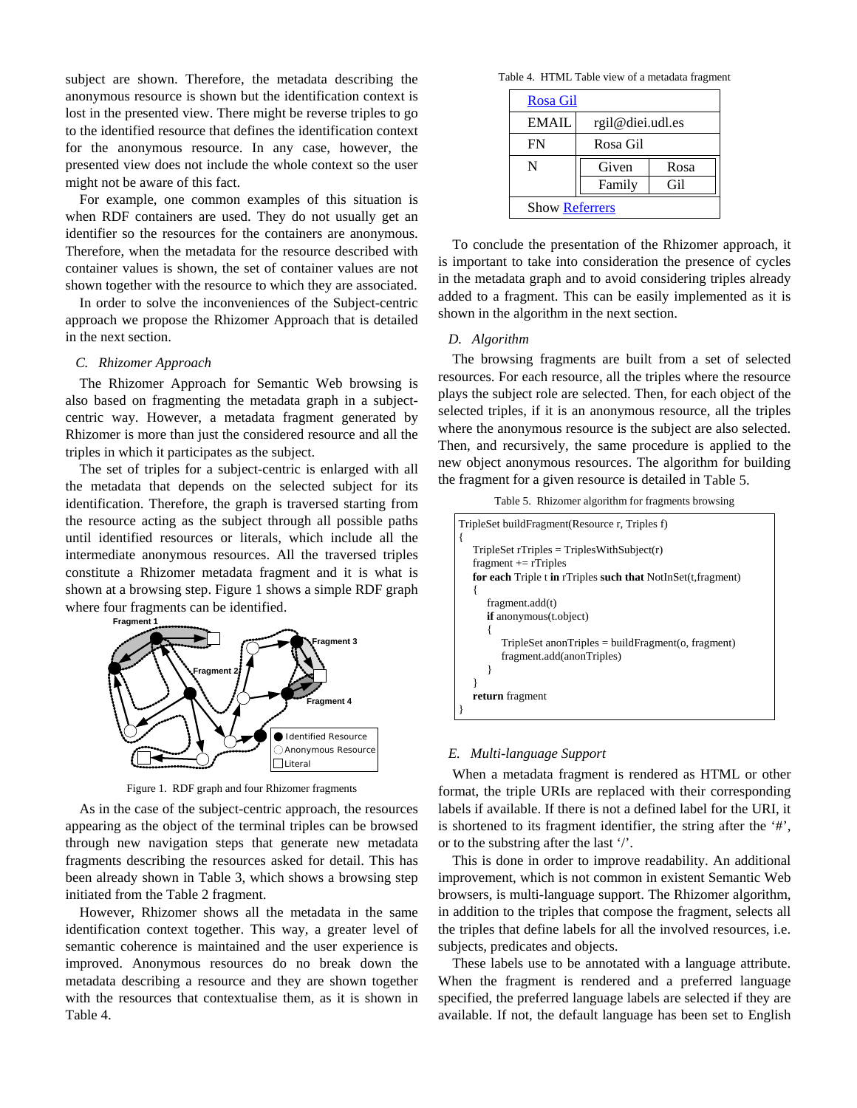<span id="page-3-0"></span>subject are shown. Therefore, the metadata describing the anonymous resource is shown but the identification context is lost in the presented view. There might be reverse triples to go to the identified resource that defines the identification context for the anonymous resource. In any case, however, the presented view does not include the whole context so the user might not be aware of this fact.

For example, one common examples of this situation is when RDF containers are used. They do not usually get an identifier so the resources for the containers are anonymous. Therefore, when the metadata for the resource described with container values is shown, the set of container values are not shown together with the resource to which they are associated.

In order to solve the inconveniences of the Subject-centric approach we propose the Rhizomer Approach that is detailed in the next section.

### *C. Rhizomer Approach*

The Rhizomer Approach for Semantic Web browsing is also based on fragmenting the metadata graph in a subjectcentric way. However, a metadata fragment generated by Rhizomer is more than just the considered resource and all the triples in which it participates as the subject.

The set of triples for a subject-centric is enlarged with all the metadata that depends on the selected subject for its identification. Therefore, the graph is traversed starting from the resource acting as the subject through all possible paths until identified resources or literals, which include all the intermediate anonymous resources. All the traversed triples constitute a Rhizomer metadata fragment and it is what is shown at a browsing step. [Figure 1](#page-3-0) shows a simple RDF graph where four fragments can be identified.



Figure 1. RDF graph and four Rhizomer fragments

As in the case of the subject-centric approach, the resources appearing as the object of the terminal triples can be browsed through new navigation steps that generate new metadata fragments describing the resources asked for detail. This has been already shown in [Table 3](#page-2-0), which shows a browsing step initiated from the [Table 2](#page-2-0) fragment.

However, Rhizomer shows all the metadata in the same identification context together. This way, a greater level of semantic coherence is maintained and the user experience is improved. Anonymous resources do no break down the metadata describing a resource and they are shown together with the resources that contextualise them, as it is shown in [Table 4](#page-3-0).

Table 4. HTML Table view of a metadata fragment

| Rosa Gil              |                  |      |
|-----------------------|------------------|------|
| <b>EMAIL</b>          | rgil@diei.udl.es |      |
| FN                    | Rosa Gil         |      |
| N                     | Given            | Rosa |
|                       | Family           | Gil  |
| <b>Show Referrers</b> |                  |      |

To conclude the presentation of the Rhizomer approach, it is important to take into consideration the presence of cycles in the metadata graph and to avoid considering triples already added to a fragment. This can be easily implemented as it is shown in the algorithm in the next section.

# *D. Algorithm*

The browsing fragments are built from a set of selected resources. For each resource, all the triples where the resource plays the subject role are selected. Then, for each object of the selected triples, if it is an anonymous resource, all the triples where the anonymous resource is the subject are also selected. Then, and recursively, the same procedure is applied to the new object anonymous resources. The algorithm for building the fragment for a given resource is detailed in [Table 5](#page-3-0).

Table 5. Rhizomer algorithm for fragments browsing

| TripleSet buildFragment(Resource r, Triples f)                |
|---------------------------------------------------------------|
|                                                               |
| $TripleSet$ rTriples = TriplesWithSubject(r)                  |
| fragment $ ==$ rTriples                                       |
| for each Triple t in rTriples such that NotInSet(t, fragment) |
|                                                               |
| fragment.add(t)                                               |
| <b>if</b> anonymous(t.object)                                 |
|                                                               |
| $TripleSet$ anon $Triplies = buildFragment(o, fragment)$      |
| fragment.add(anonTriples)                                     |
|                                                               |
|                                                               |
| return fragment                                               |
|                                                               |

# *E. Multi-language Support*

When a metadata fragment is rendered as HTML or other format, the triple URIs are replaced with their corresponding labels if available. If there is not a defined label for the URI, it is shortened to its fragment identifier, the string after the '#', or to the substring after the last '/'.

This is done in order to improve readability. An additional improvement, which is not common in existent Semantic Web browsers, is multi-language support. The Rhizomer algorithm, in addition to the triples that compose the fragment, selects all the triples that define labels for all the involved resources, i.e. subjects, predicates and objects.

These labels use to be annotated with a language attribute. When the fragment is rendered and a preferred language specified, the preferred language labels are selected if they are available. If not, the default language has been set to English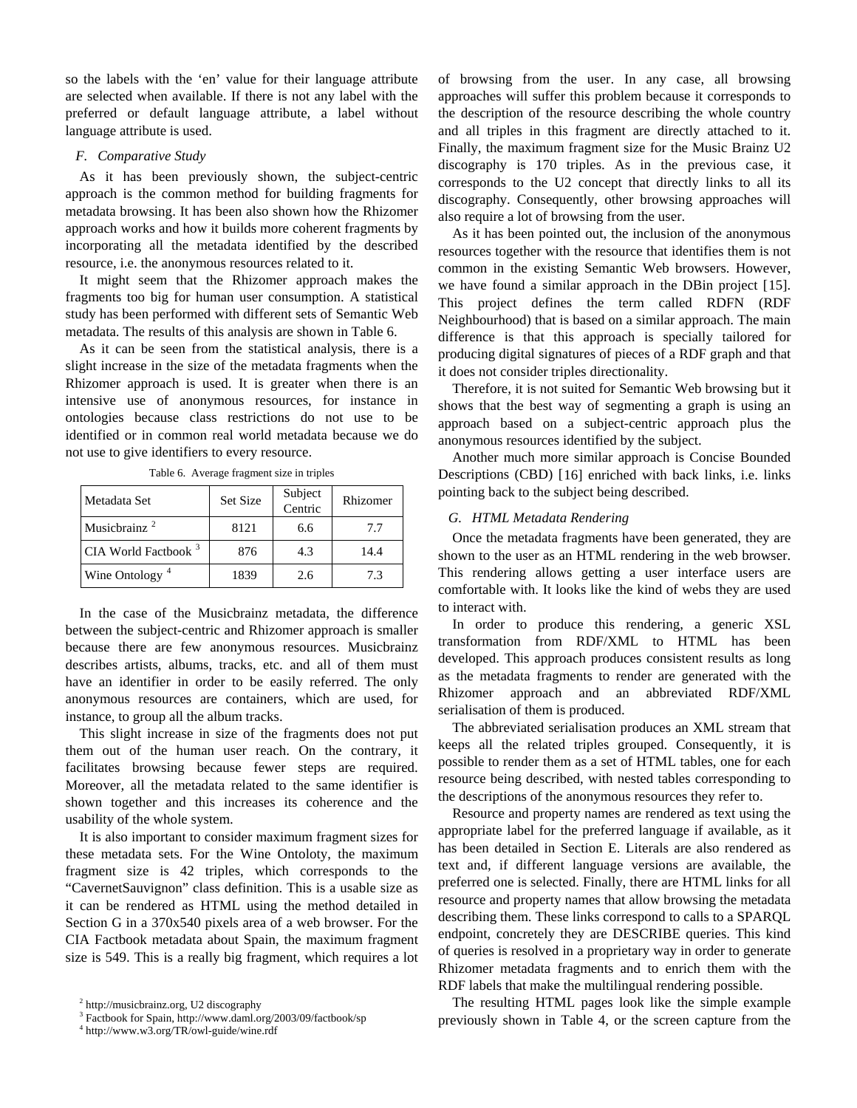<span id="page-4-3"></span>so the labels with the 'en' value for their language attribute are selected when available. If there is not any label with the preferred or default language attribute, a label without language attribute is used.

#### *F. Comparative Study*

As it has been previously shown, the subject-centric approach is the common method for building fragments for metadata browsing. It has been also shown how the Rhizomer approach works and how it builds more coherent fragments by incorporating all the metadata identified by the described resource, i.e. the anonymous resources related to it.

It might seem that the Rhizomer approach makes the fragments too big for human user consumption. A statistical study has been performed with different sets of Semantic Web metadata. The results of this analysis are shown in [Table 6.](#page-4-3)

As it can be seen from the statistical analysis, there is a slight increase in the size of the metadata fragments when the Rhizomer approach is used. It is greater when there is an intensive use of anonymous resources, for instance in ontologies because class restrictions do not use to be identified or in common real world metadata because we do not use to give identifiers to every resource.

| Metadata Set               | <b>Set Size</b> | Subject<br>Centric | Rhizomer |
|----------------------------|-----------------|--------------------|----------|
| Musicbrainz <sup>2</sup>   | 8121            | 6.6                | 7.7      |
| CIA World Factbook $3$     | 876             | 4.3                | 14.4     |
| Wine Ontology <sup>4</sup> | 1839            | 2.6                | 7.3      |

Table 6. Average fragment size in triples

In the case of the Musicbrainz metadata, the difference between the subject-centric and Rhizomer approach is smaller because there are few anonymous resources. Musicbrainz describes artists, albums, tracks, etc. and all of them must have an identifier in order to be easily referred. The only anonymous resources are containers, which are used, for instance, to group all the album tracks.

This slight increase in size of the fragments does not put them out of the human user reach. On the contrary, it facilitates browsing because fewer steps are required. Moreover, all the metadata related to the same identifier is shown together and this increases its coherence and the usability of the whole system.

It is also important to consider maximum fragment sizes for these metadata sets. For the Wine Ontoloty, the maximum fragment size is 42 triples, which corresponds to the "CavernetSauvignon" class definition. This is a usable size as it can be rendered as HTML using the method detailed in Section [G](#page-4-3) in a 370x540 pixels area of a web browser. For the CIA Factbook metadata about Spain, the maximum fragment size is 549. This is a really big fragment, which requires a lot of browsing from the user. In any case, all browsing approaches will suffer this problem because it corresponds to the description of the resource describing the whole country and all triples in this fragment are directly attached to it. Finally, the maximum fragment size for the Music Brainz U2 discography is 170 triples. As in the previous case, it corresponds to the U2 concept that directly links to all its discography. Consequently, other browsing approaches will also require a lot of browsing from the user.

As it has been pointed out, the inclusion of the anonymous resources together with the resource that identifies them is not common in the existing Semantic Web browsers. However, we have found a similar approach in the DBin project [[1](#page-7-1)5]. This project defines the term called RDFN (RDF Neighbourhood) that is based on a similar approach. The main difference is that this approach is specially tailored for producing digital signatures of pieces of a RDF graph and that it does not consider triples directionality.

Therefore, it is not suited for Semantic Web browsing but it shows that the best way of segmenting a graph is using an approach based on a subject-centric approach plus the anonymous resources identified by the subject.

Another much more similar approach is Concise Bounded Descriptions (CBD) [[1](#page-7-1)6] enriched with back links, i.e. links pointing back to the subject being described.

# *G. HTML Metadata Rendering*

Once the metadata fragments have been generated, they are shown to the user as an HTML rendering in the web browser. This rendering allows getting a user interface users are comfortable with. It looks like the kind of webs they are used to interact with.

In order to produce this rendering, a generic XSL transformation from RDF/XML to HTML has been developed. This approach produces consistent results as long as the metadata fragments to render are generated with the Rhizomer approach and an abbreviated RDF/XML serialisation of them is produced.

The abbreviated serialisation produces an XML stream that keeps all the related triples grouped. Consequently, it is possible to render them as a set of HTML tables, one for each resource being described, with nested tables corresponding to the descriptions of the anonymous resources they refer to.

Resource and property names are rendered as text using the appropriate label for the preferred language if available, as it has been detailed in Section [E.](#page-3-0) Literals are also rendered as text and, if different language versions are available, the preferred one is selected. Finally, there are HTML links for all resource and property names that allow browsing the metadata describing them. These links correspond to calls to a SPARQL endpoint, concretely they are DESCRIBE queries. This kind of queries is resolved in a proprietary way in order to generate Rhizomer metadata fragments and to enrich them with the RDF labels that make the multilingual rendering possible.

The resulting HTML pages look like the simple example previously shown in [Table 4,](#page-3-0) or the screen capture from the

<span id="page-4-0"></span><sup>2</sup> http://musicbrainz.org, U2 discography

<span id="page-4-1"></span><sup>3</sup> Factbook for Spain, http://www.daml.org/2003/09/factbook/sp

<span id="page-4-2"></span><sup>4</sup> http://www.w3.org/TR/owl-guide/wine.rdf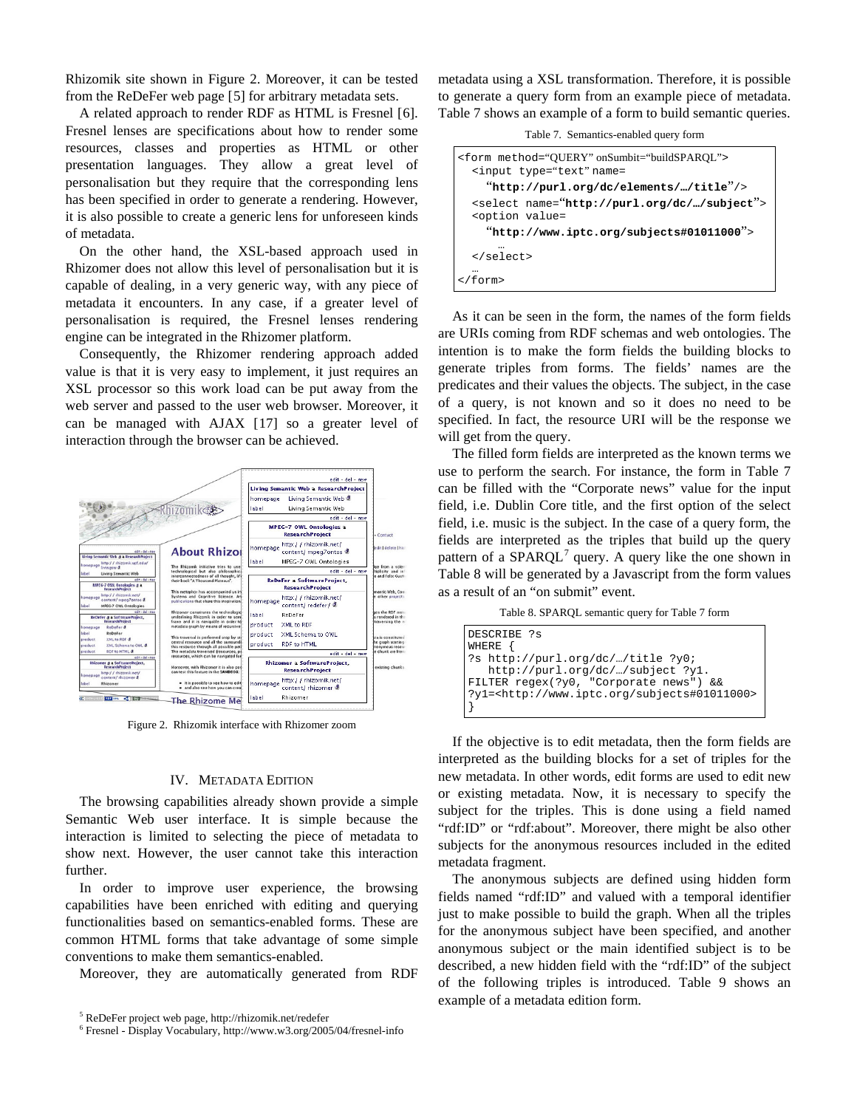<span id="page-5-0"></span>Rhizomik site shown in [Figure 2.](#page-5-0) Moreover, it can be tested from the ReDeFer web page [[5\]](#page-5-1) for arbitrary metadata sets.

A related approach to render RDF as HTML is Fresnel [[6\]](#page-5-2). Fresnel lenses are specifications about how to render some resources, classes and properties as HTML or other presentation languages. They allow a great level of personalisation but they require that the corresponding lens has been specified in order to generate a rendering. However, it is also possible to create a generic lens for unforeseen kinds of metadata.

On the other hand, the XSL-based approach used in Rhizomer does not allow this level of personalisation but it is capable of dealing, in a very generic way, with any piece of metadata it encounters. In any case, if a greater level of personalisation is required, the Fresnel lenses rendering engine can be integrated in the Rhizomer platform.

Consequently, the Rhizomer rendering approach added value is that it is very easy to implement, it just requires an XSL processor so this work load can be put away from the web server and passed to the user web browser. Moreover, it can be managed with AJAX [[1](#page-7-1)7] so a greater level of interaction through the browser can be achieved.



Figure 2. Rhizomik interface with Rhizomer zoom

#### IV. METADATA EDITION

The browsing capabilities already shown provide a simple Semantic Web user interface. It is simple because the interaction is limited to selecting the piece of metadata to show next. However, the user cannot take this interaction further.

In order to improve user experience, the browsing capabilities have been enriched with editing and querying functionalities based on semantics-enabled forms. These are common HTML forms that take advantage of some simple conventions to make them semantics-enabled.

Moreover, they are automatically generated from RDF

metadata using a XSL transformation. Therefore, it is possible to generate a query form from an example piece of metadata. [Table 7](#page-5-0) shows an example of a form to build semantic queries.

Table 7. Semantics-enabled query form

| <form method="OUERY" onsumbit="buildSPAROL"><br/><input name="&lt;/td" type="text"/></form> |
|---------------------------------------------------------------------------------------------|
| "http://purl.org/dc/elements//title"/>                                                      |
| <select name="http://purl.org/dc//subject"><br/><option value="&lt;/td"></option></select>  |
| "http://www.iptc.org/subjects#01011000">                                                    |
| <br>                                                                                        |
| <br>$\langle$ form>                                                                         |

As it can be seen in the form, the names of the form fields are URIs coming from RDF schemas and web ontologies. The intention is to make the form fields the building blocks to generate triples from forms. The fields' names are the predicates and their values the objects. The subject, in the case of a query, is not known and so it does no need to be specified. In fact, the resource URI will be the response we will get from the query.

The filled form fields are interpreted as the known terms we use to perform the search. For instance, the form in [Table 7](#page-5-0) can be filled with the "Corporate news" value for the input field, i.e. Dublin Core title, and the first option of the select field, i.e. music is the subject. In the case of a query form, the fields are interpreted as the triples that build up the query pattern of a SPARQL<sup>[7](#page-5-2)</sup> query. A query like the one shown in [Table 8](#page-5-0) will be generated by a Javascript from the form values as a result of an "on submit" event.

Table 8. SPARQL semantic query for [Table 7](#page-5-0) form

| DESCRIBE ?s<br>WHERE {                                                                               |
|------------------------------------------------------------------------------------------------------|
| ?s http://purl.org/dc//title ?y0;<br>http://purl.org/dc//subject ?y1.                                |
| FILTER regex(?y0, "Corporate news") & &<br>?y1= <http: subjects#01011000="" www.iptc.org=""></http:> |

If the objective is to edit metadata, then the form fields are interpreted as the building blocks for a set of triples for the new metadata. In other words, edit forms are used to edit new or existing metadata. Now, it is necessary to specify the subject for the triples. This is done using a field named "rdf:ID" or "rdf:about". Moreover, there might be also other subjects for the anonymous resources included in the edited metadata fragment.

The anonymous subjects are defined using hidden form fields named "rdf:ID" and valued with a temporal identifier just to make possible to build the graph. When all the triples for the anonymous subject have been specified, and another anonymous subject or the main identified subject is to be described, a new hidden field with the "rdf:ID" of the subject of the following triples is introduced. [Table 9](#page-6-0) shows an example of a metadata edition form.

<span id="page-5-2"></span><span id="page-5-1"></span><sup>&</sup>lt;sup>5</sup> ReDeFer project web page, http://rhizomik.net/redefer  $\frac{6}{100}$ 

Fresnel - Display Vocabulary, http://www.w3.org/2005/04/fresnel-info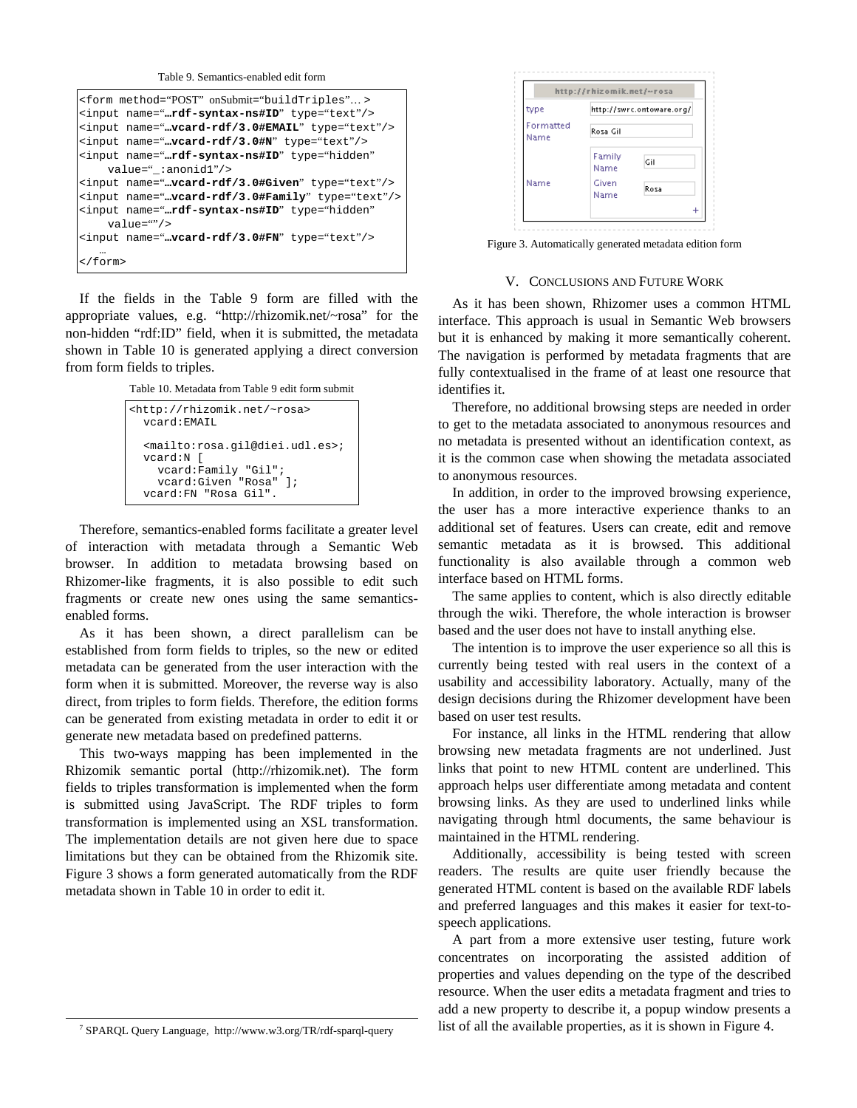Table 9. Semantics-enabled edit form

```
<form method="POST" onSubmit="buildTriples"… >
<input name="…rdf-syntax-ns#ID" type="text"/> 
<input name="…vcard-rdf/3.0#EMAIL" type="text"/>
<input name="…vcard-rdf/3.0#N" type="text"/> 
<input name="…rdf-syntax-ns#ID" type="hidden" 
     value="_:anonid1"/> 
<input name="…vcard-rdf/3.0#Given" type="text"/>
<input name="…vcard-rdf/3.0#Family" type="text"/>
<input name="…rdf-syntax-ns#ID" type="hidden" 
     value=""/> 
<input name="…vcard-rdf/3.0#FN" type="text"/> 
 … 
</form>
```
If the fields in the [Table 9](#page-6-0) form are filled with the appropriate values, e.g. "http://rhizomik.net/~rosa" for the non-hidden "rdf:ID" field, when it is submitted, the metadata shown in [Table 10](#page-6-0) is generated applying a direct conversion from form fields to triples.

Table 10. Metadata from [Table 9](#page-6-0) edit form submit

```
<http://rhizomik.net/~rosa> 
  vcard:EMAIL 
  <mailto:rosa.gil@diei.udl.es>; 
  vcard:N [ 
     vcard:Family "Gil"; 
     vcard:Given "Rosa" ]; 
  vcard:FN "Rosa Gil".
```
Therefore, semantics-enabled forms facilitate a greater level of interaction with metadata through a Semantic Web browser. In addition to metadata browsing based on Rhizomer-like fragments, it is also possible to edit such fragments or create new ones using the same semanticsenabled forms.

As it has been shown, a direct parallelism can be established from form fields to triples, so the new or edited metadata can be generated from the user interaction with the form when it is submitted. Moreover, the reverse way is also direct, from triples to form fields. Therefore, the edition forms can be generated from existing metadata in order to edit it or generate new metadata based on predefined patterns.

This two-ways mapping has been implemented in the Rhizomik semantic portal (http://rhizomik.net). The form fields to triples transformation is implemented when the form is submitted using JavaScript. The RDF triples to form transformation is implemented using an XSL transformation. The implementation details are not given here due to space limitations but they can be obtained from the Rhizomik site. [Figure 3](#page-6-0) shows a form generated automatically from the RDF metadata shown in [Table 10](#page-6-0) in order to edit it.

http://rhizomik.net/~rosa type http://swrc.ontoware.org/ Formatted Rosa Gil Name Family Gil Name Name Given Rosa Name

Figure 3. Automatically generated metadata edition form

# V. CONCLUSIONS AND FUTURE WORK

As it has been shown, Rhizomer uses a common HTML interface. This approach is usual in Semantic Web browsers but it is enhanced by making it more semantically coherent. The navigation is performed by metadata fragments that are fully contextualised in the frame of at least one resource that identifies it.

Therefore, no additional browsing steps are needed in order to get to the metadata associated to anonymous resources and no metadata is presented without an identification context, as it is the common case when showing the metadata associated to anonymous resources.

In addition, in order to the improved browsing experience, the user has a more interactive experience thanks to an additional set of features. Users can create, edit and remove semantic metadata as it is browsed. This additional functionality is also available through a common web interface based on HTML forms.

The same applies to content, which is also directly editable through the wiki. Therefore, the whole interaction is browser based and the user does not have to install anything else.

The intention is to improve the user experience so all this is currently being tested with real users in the context of a usability and accessibility laboratory. Actually, many of the design decisions during the Rhizomer development have been based on user test results.

For instance, all links in the HTML rendering that allow browsing new metadata fragments are not underlined. Just links that point to new HTML content are underlined. This approach helps user differentiate among metadata and content browsing links. As they are used to underlined links while navigating through html documents, the same behaviour is maintained in the HTML rendering.

Additionally, accessibility is being tested with screen readers. The results are quite user friendly because the generated HTML content is based on the available RDF labels and preferred languages and this makes it easier for text-tospeech applications.

A part from a more extensive user testing, future work concentrates on incorporating the assisted addition of properties and values depending on the type of the described resource. When the user edits a metadata fragment and tries to add a new property to describe it, a popup window presents a list of all the available properties, as it is shown in [Figure 4.](#page-7-2)

 $\frac{1}{7}$ SPARQL Query Language, http://www.w3.org/TR/rdf-sparql-query